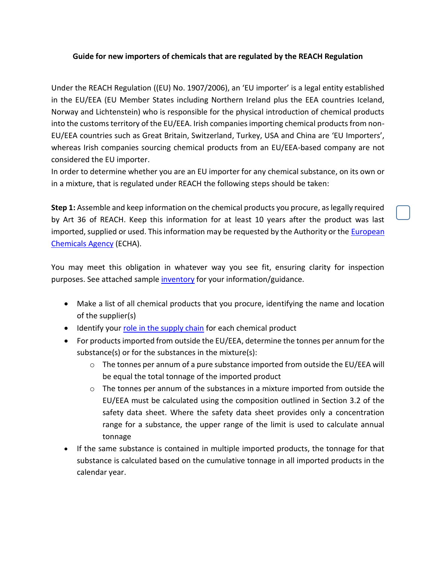## **Guide for new importers of chemicals that are regulated by the REACH Regulation**

Under the REACH Regulation ((EU) No. 1907/2006), an 'EU importer' is a legal entity established in the EU/EEA (EU Member States including Northern Ireland plus the EEA countries Iceland, Norway and Lichtenstein) who is responsible for the physical introduction of chemical products into the customs territory of the EU/EEA. Irish companies importing chemical products from non-EU/EEA countries such as Great Britain, Switzerland, Turkey, USA and China are 'EU Importers', whereas Irish companies sourcing chemical products from an EU/EEA-based company are not considered the EU importer.

In order to determine whether you are an EU importer for any chemical substance, on its own or in a mixture, that is regulated under REACH the following steps should be taken:

**Step 1:** Assemble and keep information on the chemical products you procure, as legally required by Art 36 of REACH. Keep this information for at least 10 years after the product was last imported, supplied or used. This information may be requested by the Authority or the [European](file:///C:/Users/karen_collins/AppData/Local/Microsoft/Windows/INetCache/Content.Outlook/0N9WT8Q5/echa.europa.eu)  [Chemicals Agency](file:///C:/Users/karen_collins/AppData/Local/Microsoft/Windows/INetCache/Content.Outlook/0N9WT8Q5/echa.europa.eu) (ECHA).

You may meet this obligation in whatever way you see fit, ensuring clarity for inspection purposes. See attached sample [inventory](https://www.hsa.ie/!6RTYKS) for your information/guidance.

- Make a list of all chemical products that you procure, identifying the name and location of the supplier(s)
- Identify your [role in the supply chain](https://www.hsa.ie/eng/Your_Industry/Chemicals/Legislation_Enforcement/REACH/Roles_and_duties_under_REACH/) for each chemical product
- For products imported from outside the EU/EEA, determine the tonnes per annum for the substance(s) or for the substances in the mixture(s):
	- $\circ$  The tonnes per annum of a pure substance imported from outside the EU/EEA will be equal the total tonnage of the imported product
	- $\circ$  The tonnes per annum of the substances in a mixture imported from outside the EU/EEA must be calculated using the composition outlined in Section 3.2 of the safety data sheet. Where the safety data sheet provides only a concentration range for a substance, the upper range of the limit is used to calculate annual tonnage
- If the same substance is contained in multiple imported products, the tonnage for that substance is calculated based on the cumulative tonnage in all imported products in the calendar year.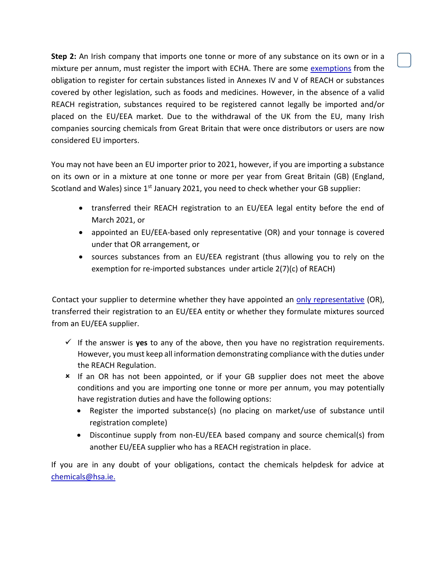**Step 2:** An Irish company that imports one tonne or more of any substance on its own or in a mixture per annum, must register the import with ECHA. There are some [exemptions](https://echa.europa.eu/support/getting-started/am-i-exempt) from the obligation to register for certain substances listed in Annexes IV and V of REACH or substances covered by other legislation, such as foods and medicines. However, in the absence of a valid REACH registration, substances required to be registered cannot legally be imported and/or placed on the EU/EEA market. Due to the withdrawal of the UK from the EU, many Irish companies sourcing chemicals from Great Britain that were once distributors or users are now considered EU importers.

You may not have been an EU importer prior to 2021, however, if you are importing a substance on its own or in a mixture at one tonne or more per year from Great Britain (GB) (England, Scotland and Wales) since  $1<sup>st</sup>$  January 2021, you need to check whether your GB supplier:

- transferred their REACH registration to an EU/EEA legal entity before the end of March 2021, or
- appointed an EU/EEA-based only representative (OR) and your tonnage is covered under that OR arrangement, or
- sources substances from an EU/EEA registrant (thus allowing you to rely on the exemption for re-imported substances under article 2(7)(c) of REACH)

Contact your supplier to determine whether they have appointed an [only representative](https://www.hsa.ie/eng/Your_Industry/Chemicals/Legislation_Enforcement/REACH/Registration/Only_representative/) (OR), transferred their registration to an EU/EEA entity or whether they formulate mixtures sourced from an EU/EEA supplier.

- $\checkmark$  If the answer is **yes** to any of the above, then you have no registration requirements. However, you must keep all information demonstrating compliance with the duties under the REACH Regulation.
- If an OR has not been appointed, or if your GB supplier does not meet the above conditions and you are importing one tonne or more per annum, you may potentially have registration duties and have the following options:
	- Register the imported substance(s) (no placing on market/use of substance until registration complete)
	- Discontinue supply from non-EU/EEA based company and source chemical(s) from another EU/EEA supplier who has a REACH registration in place.

If you are in any doubt of your obligations, contact the chemicals helpdesk for advice at [chemicals@hsa.ie.](mailto:chemicals@hsa.ie)